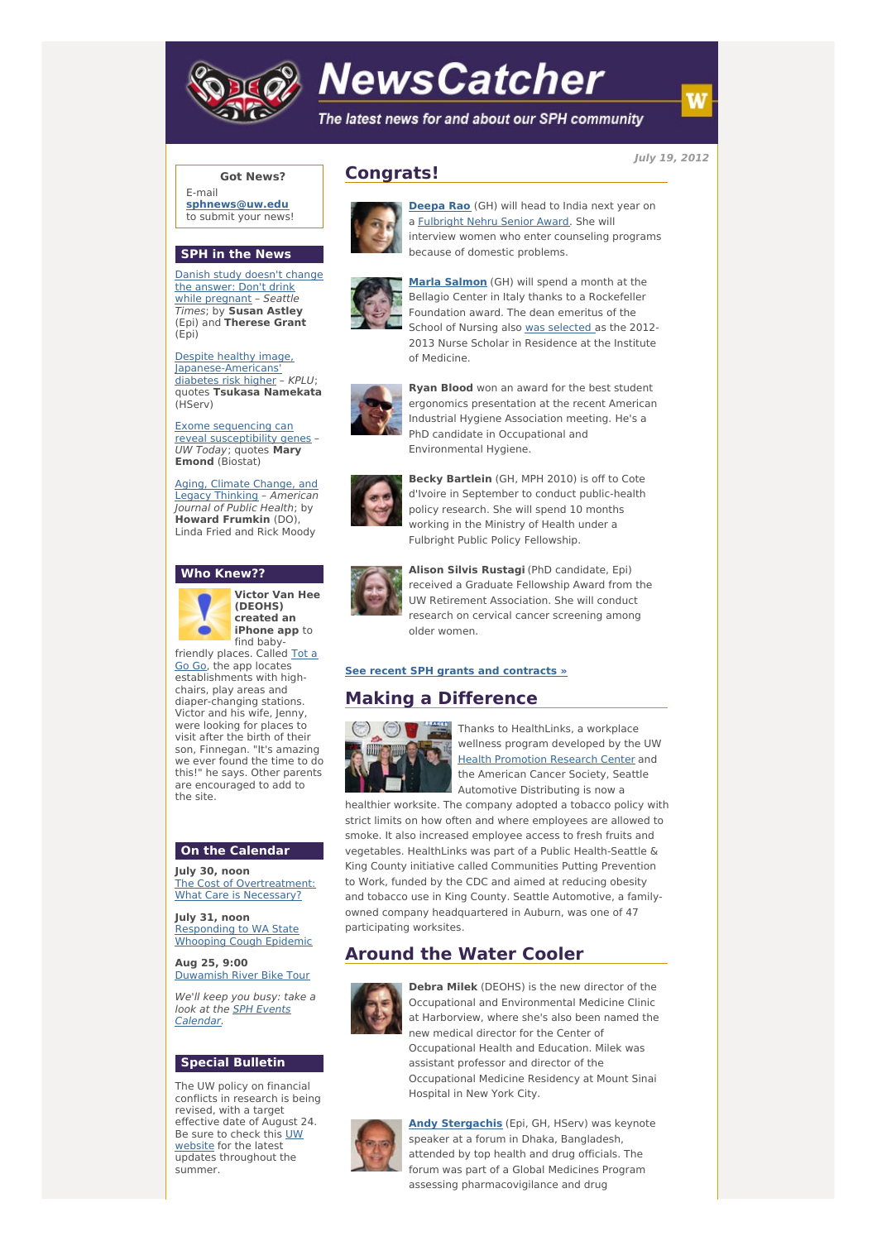

# **NewsCatcher**

The latest news for and about our SPH community

**July 19, 2012**

### **Got News?**

E-mail **[sphnews@uw.edu](mailto:sphnews@uw.edu)** to submit your news!

### **SPH in the News**

Danish study doesn't change the answer: Don't drink while [pregnant](http://engage.washington.edu/site/R?i=qbdd_uN3cpAcygD1qRStYQ) - Seattle Times; by **Susan Astley** (Epi) and **Therese Grant** (Epi)

Despite healthy image, [Japanese-Americans'](http://engage.washington.edu/site/R?i=GNWjogzP8pPtWUwQgLr1Cw) diabetes risk higher – KPLU; quotes **Tsukasa Namekata** (HServ)

Exome sequencing can reveal [susceptibility](http://engage.washington.edu/site/R?i=HYSQndxf1RCdbLbF8dciPw) genes – UW Today; quotes **Mary Emond** (Biostat)

Aging, Climate Change, and Legacy Thinking – [American](http://engage.washington.edu/site/R?i=iye_PNxj4bpsfOQt84lZrw) Journal of Public Health; by **Howard Frumkin** (DO), Linda Fried and Rick Moody

#### **Who Knew??**



**Victor Van Hee (DEOHS) created an iPhone** app to find baby-

[friendly](http://engage.washington.edu/site/R?i=p3acLi1wQHK1gUcEQE_zLg) places. Called Tot a Go Go, the app locates establishments with highchairs, play areas and diaper-changing stations. Victor and his wife, Jenny, were looking for places to visit after the birth of their son, Finnegan. "It's amazing we ever found the time to do this!" he says. Other parents are encouraged to add to the site.

#### **On the Calendar**

**July 30, noon** The Cost of [Overtreatment:](http://engage.washington.edu/site/R?i=_p5NxZBRifyG8wvGM4ETqA) What Care is Necessary?

**July 31, noon** [Responding](http://engage.washington.edu/site/R?i=nFOmYl69_T1pGDXLn_FdRg) to WA State Whooping Cough Epidemic

**Aug 25, 9:00** [Duwamish](http://engage.washington.edu/site/R?i=Q4GybkMogP33r6Ohji-CNg) River Bike Tour

We'll keep you busy: take a look at the SPH Events [Calendar.](http://engage.washington.edu/site/R?i=qreBLJiSF_BnMkdShixlkQ)

# **Special Bulletin**

The UW policy on financial conflicts in research is being revised, with a target effective date of August 24. Be sure to check this UW [website](http://engage.washington.edu/site/R?i=UaMeJaLIQsFqrhFfEU4WuA) for the latest updates throughout the summer.



**Congrats!**

**[Deepa](http://engage.washington.edu/site/R?i=_r7q5j72wLA8Gn31r-4gQw) Rao** (GH) will head to India next year on a [Fulbright](http://engage.washington.edu/site/R?i=ywCFLJCM1TfXzdBz8RjqaQ) Nehru Senior Award. She will interview women who enter counseling programs because of domestic problems.



**Marla [Salmon](http://engage.washington.edu/site/R?i=okeaEVSxwuZfYsIFzvEjeQ)** (GH) will spend a month at the Bellagio Center in Italy thanks to a Rockefeller Foundation award. The dean emeritus of the School of Nursing also was [selected](http://engage.washington.edu/site/R?i=7tlGyJSmkX4CH0r7ZJCGqw) as the 2012- 2013 Nurse Scholar in Residence at the Institute of Medicine.



**Ryan Blood** won an award for the best student ergonomics presentation at the recent American Industrial Hygiene Association meeting. He's a PhD candidate in Occupational and Environmental Hygiene.



**Becky Bartlein** (GH, MPH 2010) is off to Cote d'Ivoire in September to conduct public-health policy research. She will spend 10 months working in the Ministry of Health under a Fulbright Public Policy Fellowship.



**Alison Silvis Rustagi** (PhD candidate, Epi) received a Graduate Fellowship Award from the UW Retirement Association. She will conduct research on cervical cancer screening among older women.

#### **See recent SPH grants and [contracts](http://engage.washington.edu/site/R?i=LDDVyyuDxgDWBR4qKwPH9Q) »**

# **Making a Difference**



Thanks to HealthLinks, a workplace wellness program developed by the UW **Health [Promotion](http://engage.washington.edu/site/R?i=mIPqooeP-FCyOOJpxd-IQw) Research Center and** the American Cancer Society, Seattle Automotive Distributing is now a

healthier worksite. The company adopted a tobacco policy with strict limits on how often and where employees are allowed to smoke. It also increased employee access to fresh fruits and vegetables. HealthLinks was part of a Public Health-Seattle & King County initiative called Communities Putting Prevention to Work, funded by the CDC and aimed at reducing obesity and tobacco use in King County. Seattle Automotive, a familyowned company headquartered in Auburn, was one of 47 participating worksites.

# **Around the Water Cooler**



**Debra Milek** (DEOHS) is the new director of the Occupational and Environmental Medicine Clinic at Harborview, where she's also been named the new medical director for the Center of Occupational Health and Education. Milek was assistant professor and director of the Occupational Medicine Residency at Mount Sinai Hospital in New York City.



**Andy [Stergachis](http://engage.washington.edu/site/R?i=ApMeSZXcSfErqrLwst-5Dw)** (Epi, GH, HServ) was keynote speaker at a forum in Dhaka, Bangladesh, attended by top health and drug officials. The forum was part of a Global Medicines Program assessing pharmacovigilance and drug